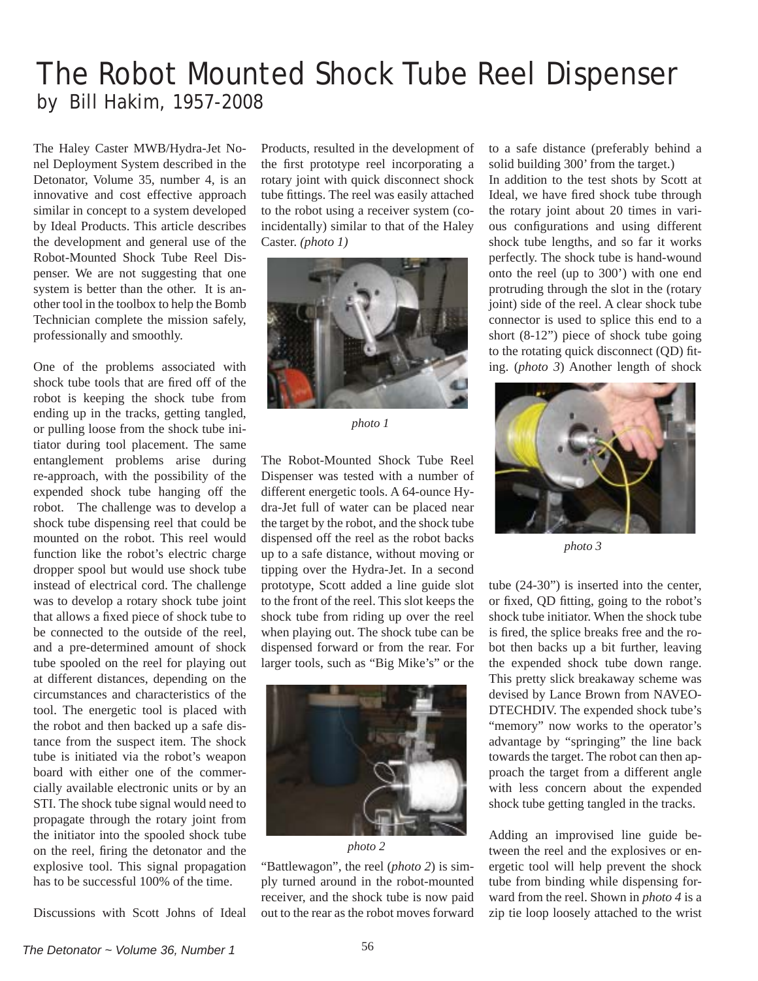## The Robot Mounted Shock Tube Reel Dispenser by Bill Hakim, 1957-2008

The Haley Caster MWB/Hydra-Jet Nonel Deployment System described in the Detonator, Volume 35, number 4, is an innovative and cost effective approach similar in concept to a system developed by Ideal Products. This article describes the development and general use of the Robot-Mounted Shock Tube Reel Dispenser. We are not suggesting that one system is better than the other. It is another tool in the toolbox to help the Bomb Technician complete the mission safely, professionally and smoothly.

One of the problems associated with shock tube tools that are fired off of the robot is keeping the shock tube from ending up in the tracks, getting tangled, or pulling loose from the shock tube initiator during tool placement. The same entanglement problems arise during re-approach, with the possibility of the expended shock tube hanging off the robot. The challenge was to develop a shock tube dispensing reel that could be mounted on the robot. This reel would function like the robot's electric charge dropper spool but would use shock tube instead of electrical cord. The challenge was to develop a rotary shock tube joint that allows a fixed piece of shock tube to be connected to the outside of the reel, and a pre-determined amount of shock tube spooled on the reel for playing out at different distances, depending on the circumstances and characteristics of the tool. The energetic tool is placed with the robot and then backed up a safe distance from the suspect item. The shock tube is initiated via the robot's weapon board with either one of the commercially available electronic units or by an STI. The shock tube signal would need to propagate through the rotary joint from the initiator into the spooled shock tube on the reel, firing the detonator and the explosive tool. This signal propagation has to be successful 100% of the time.

Discussions with Scott Johns of Ideal

Products, resulted in the development of the first prototype reel incorporating a rotary joint with quick disconnect shock tube fittings. The reel was easily attached to the robot using a receiver system (coincidentally) similar to that of the Haley Caster. *(photo 1)*



*photo 1*

The Robot-Mounted Shock Tube Reel Dispenser was tested with a number of different energetic tools. A 64-ounce Hydra-Jet full of water can be placed near the target by the robot, and the shock tube dispensed off the reel as the robot backs up to a safe distance, without moving or tipping over the Hydra-Jet. In a second prototype, Scott added a line guide slot to the front of the reel. This slot keeps the shock tube from riding up over the reel when playing out. The shock tube can be dispensed forward or from the rear. For larger tools, such as "Big Mike's" or the



*photo 2*

"Battlewagon", the reel (*photo 2*) is simply turned around in the robot-mounted receiver, and the shock tube is now paid out to the rear as the robot moves forward to a safe distance (preferably behind a solid building 300' from the target.)

In addition to the test shots by Scott at Ideal, we have fired shock tube through the rotary joint about 20 times in various configurations and using different shock tube lengths, and so far it works perfectly. The shock tube is hand-wound onto the reel (up to 300') with one end protruding through the slot in the (rotary joint) side of the reel. A clear shock tube connector is used to splice this end to a short (8-12") piece of shock tube going to the rotating quick disconnect (QD) fiting. (*photo 3*) Another length of shock



*photo 3*

tube (24-30") is inserted into the center, or fixed, OD fitting, going to the robot's shock tube initiator. When the shock tube is fired, the splice breaks free and the robot then backs up a bit further, leaving the expended shock tube down range. This pretty slick breakaway scheme was devised by Lance Brown from NAVEO-DTECHDIV. The expended shock tube's "memory" now works to the operator's advantage by "springing" the line back towards the target. The robot can then approach the target from a different angle with less concern about the expended shock tube getting tangled in the tracks.

Adding an improvised line guide between the reel and the explosives or energetic tool will help prevent the shock tube from binding while dispensing forward from the reel. Shown in *photo 4* is a zip tie loop loosely attached to the wrist